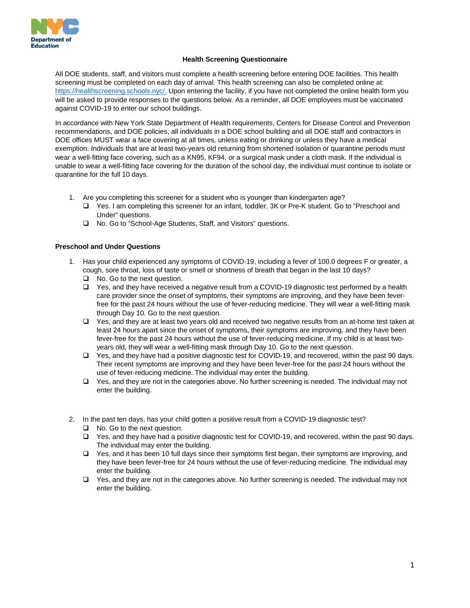

## **Health Screening Questionnaire**

All DOE students, staff, and visitors must complete a health screening before entering DOE facilities. This health screening must be completed on each day of arrival. This health screening can also be completed online at[:](https://healthscreening.schools.nyc/) [https://healthscreening.schools.nyc/.](https://healthscreening.schools.nyc/) Upon entering the facility, if you have not completed the online health form you will be asked to provide responses to the questions below. As a reminder, all DOE employees must be vaccinated against COVID-19 to enter our school buildings.

In accordance with New York State Department of Health requirements, Centers for Disease Control and Prevention recommendations, and DOE policies, all individuals in a DOE school building and all DOE staff and contractors in DOE offices MUST wear a face covering at all times, unless eating or drinking or unless they have a medical exemption. Individuals that are at least two-years old returning from shortened isolation or quarantine periods must wear a well-fitting face covering, such as a KN95, KF94, or a surgical mask under a cloth mask. If the individual is unable to wear a well-fitting face covering for the duration of the school day, the individual must continue to isolate or quarantine for the full 10 days.

- 1. Are you completing this screener for a student who is younger than kindergarten age?
	- □ Yes. I am completing this screener for an infant, toddler, 3K or Pre-K student. Go to "Preschool and Under" questions.
	- □ No. Go to "School-Age Students, Staff, and Visitors" questions.

## **Preschool and Under Questions**

- 1. Has your child experienced any symptoms of COVID-19, including a fever of 100.0 degrees F or greater, a cough, sore throat, loss of taste or smell or shortness of breath that began in the last 10 days?
	- □ No. Go to the next question.
	- $\Box$  Yes, and they have received a negative result from a COVID-19 diagnostic test performed by a health care provider since the onset of symptoms, their symptoms are improving, and they have been feverfree for the past 24 hours without the use of fever-reducing medicine. They will wear a well-fitting mask through Day 10. Go to the next question.
	- $\Box$  Yes, and they are at least two years old and received two negative results from an at-home test taken at least 24 hours apart since the onset of symptoms, their symptoms are improving, and they have been fever-free for the past 24 hours without the use of fever-reducing medicine. If my child is at least twoyears old, they will wear a well-fitting mask through Day 10. Go to the next question.
	- Yes, and they have had a positive diagnostic test for COVID-19, and recovered, within the past 90 days. Their recent symptoms are improving and they have been fever-free for the past 24 hours without the use of fever-reducing medicine. The individual may enter the building.
	- $\Box$  Yes, and they are not in the categories above. No further screening is needed. The individual may not enter the building.
- 2. In the past ten days, has your child gotten a positive result from a COVID-19 diagnostic test?
	- □ No. Go to the next question.
	- □ Yes, and they have had a positive diagnostic test for COVID-19, and recovered, within the past 90 days. The individual may enter the building.
	- □ Yes, and it has been 10 full days since their symptoms first began, their symptoms are improving, and they have been fever-free for 24 hours without the use of fever-reducing medicine. The individual may enter the building.
	- $\Box$  Yes, and they are not in the categories above. No further screening is needed. The individual may not enter the building.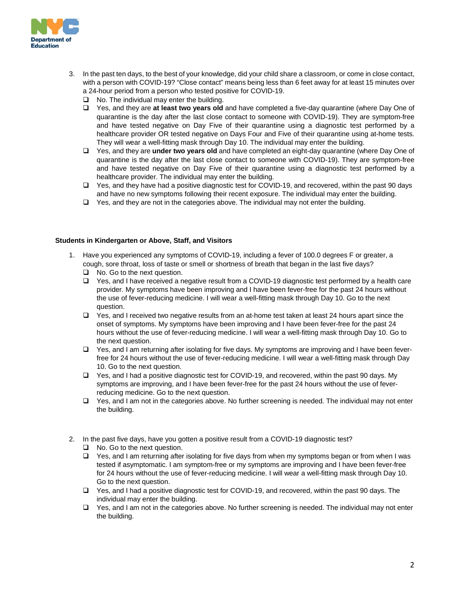

- 3. In the past ten days, to the best of your knowledge, did your child share a classroom, or come in close contact, with a person with COVID-19? "Close contact" means being less than 6 feet away for at least 15 minutes over a 24-hour period from a person who tested positive for COVID-19.
	- $\Box$  No. The individual may enter the building.
	- Yes, and they are **at least two years old** and have completed a five-day quarantine (where Day One of quarantine is the day after the last close contact to someone with COVID-19). They are symptom-free and have tested negative on Day Five of their quarantine using a diagnostic test performed by a healthcare provider OR tested negative on Days Four and Five of their quarantine using at-home tests. They will wear a well-fitting mask through Day 10. The individual may enter the building.
	- Yes, and they are **under two years old** and have completed an eight-day quarantine (where Day One of quarantine is the day after the last close contact to someone with COVID-19). They are symptom-free and have tested negative on Day Five of their quarantine using a diagnostic test performed by a healthcare provider. The individual may enter the building.
	- Yes, and they have had a positive diagnostic test for COVID-19, and recovered, within the past 90 days and have no new symptoms following their recent exposure. The individual may enter the building.
	- $\Box$  Yes, and they are not in the categories above. The individual may not enter the building.

## **Students in Kindergarten or Above, Staff, and Visitors**

- 1. Have you experienced any symptoms of COVID-19, including a fever of 100.0 degrees F or greater, a cough, sore throat, loss of taste or smell or shortness of breath that began in the last five days?
	- □ No. Go to the next question.
	- $\Box$  Yes, and I have received a negative result from a COVID-19 diagnostic test performed by a health care provider. My symptoms have been improving and I have been fever-free for the past 24 hours without the use of fever-reducing medicine. I will wear a well-fitting mask through Day 10. Go to the next question.
	- $\Box$  Yes, and I received two negative results from an at-home test taken at least 24 hours apart since the onset of symptoms. My symptoms have been improving and I have been fever-free for the past 24 hours without the use of fever-reducing medicine. I will wear a well-fitting mask through Day 10. Go to the next question.
	- $\Box$  Yes, and I am returning after isolating for five days. My symptoms are improving and I have been feverfree for 24 hours without the use of fever-reducing medicine. I will wear a well-fitting mask through Day 10. Go to the next question.
	- $\Box$  Yes, and I had a positive diagnostic test for COVID-19, and recovered, within the past 90 days. My symptoms are improving, and I have been fever-free for the past 24 hours without the use of feverreducing medicine. Go to the next question.
	- □ Yes, and I am not in the categories above. No further screening is needed. The individual may not enter the building.
- 2. In the past five days, have you gotten a positive result from a COVID-19 diagnostic test?
	- □ No. Go to the next question.
	- □ Yes, and I am returning after isolating for five days from when my symptoms began or from when I was tested if asymptomatic. I am symptom-free or my symptoms are improving and I have been fever-free for 24 hours without the use of fever-reducing medicine. I will wear a well-fitting mask through Day 10. Go to the next question.
	- Yes, and I had a positive diagnostic test for COVID-19, and recovered, within the past 90 days. The individual may enter the building.
	- Yes, and I am not in the categories above. No further screening is needed. The individual may not enter the building.